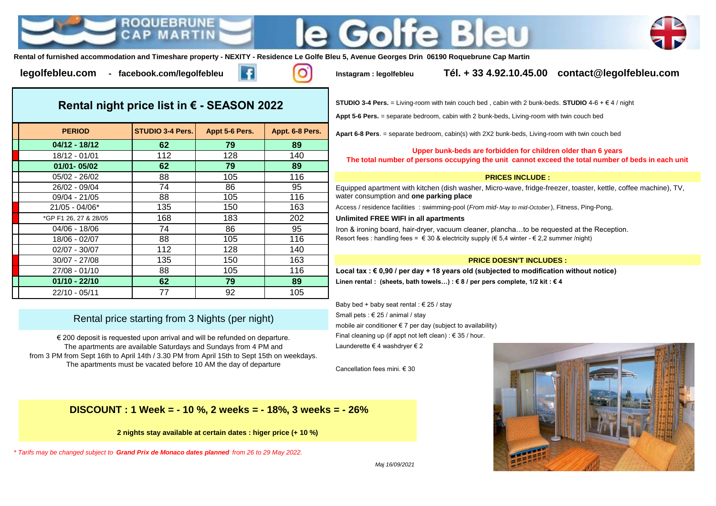



**Rental of furnished accommodation and Timeshare property - NEXITY - Residence Le Golfe Bleu 5, Avenue Georges Drin 06190 Roquebrune Cap Martin**



**legolfebleu.com - facebook.com/legolfebleu Instagram : legolfebleu Tél. + 33 4.92.10.45.00 contact@legolfebleu.com**

**Rental night price list in € - SEASON 2022**

| <b>PERIOD</b>         | <b>STUDIO 3-4 Pers.</b> | Appt 5-6 Pers. | Appt. 6-8 Pers. |
|-----------------------|-------------------------|----------------|-----------------|
| $04/12 - 18/12$       | 62                      | 79             | 89              |
| 18/12 - 01/01         | 112                     | 128            | 140             |
| 01/01-05/02           | 62                      | 79             | 89              |
| 05/02 - 26/02         | 88                      | 105            | 116             |
| 26/02 - 09/04         | 74                      | 86             | 95              |
| 09/04 - 21/05         | 88                      | 105            | 116             |
| 21/05 - 04/06*        | 135                     | 150            | 163             |
| *GP F1 26, 27 & 28/05 | 168                     | 183            | 202             |
| 04/06 - 18/06         | 74                      | 86             | 95              |
| 18/06 - 02/07         | 88                      | 105            | 116             |
| 02/07 - 30/07         | 112                     | 128            | 140             |
| 30/07 - 27/08         | 135                     | 150            | 163             |
| 27/08 - 01/10         | 88                      | 105            | 116             |
| $01/10 - 22/10$       | 62                      | 79             | 89              |
| 22/10 - 05/11         | 77                      | 92             | 105             |

# Rental price starting from 3 Nights (per night)

€ 200 deposit is requested upon arrival and will be refunded on departure. The apartments are available Saturdays and Sundays from 4 PM and from 3 PM from Sept 16th to April 14th / 3.30 PM from April 15th to Sept 15th on weekdays. The apartments must be vacated before 10 AM the day of departure

 **DISCOUNT : 1 Week = - 10 %, 2 weeks = - 18%, 3 weeks = - 26%**

**2 nights stay available at certain dates : higer price (+ 10 %)**

*\* Tarifs may be changed subject to Grand Prix de Monaco dates planned from 26 to 29 May 2022.*

**STUDIO 3-4 Pers.** = Living-room with twin couch bed , cabin with 2 bunk-beds. **STUDIO** 4-6 + € 4 / night

**Appt 5-6 Pers.** = separate bedroom, cabin with 2 bunk-beds, Living-room with twin couch bed

**Apart 6-8 Pers.** = separate bedroom, cabin(s) with 2X2 bunk-beds, Living-room with twin couch bed

## **Upper bunk-beds are forbidden for children older than 6 years**

**The total number of persons occupying the unit cannot exceed the total number of beds in each unit**

### **PRICES INCLUDE :**

Equipped apartment with kitchen (dish washer, Micro-wave, fridge-freezer, toaster, kettle, coffee machine), TV, water consumption and **one parking place** 

21/05 - 04/06\* 135 150 163 Access / residence facilities : swimming-pool (*From mid- May to mid-October* ), Fitness, Ping-Pong,

### **Unlimited FREE WIFI in all apartments**

Iron & ironing board, hair-dryer, vacuum cleaner, plancha...to be requested at the Reception. Resort fees : handling fees =  $\in$  30 & electricity supply ( $\in$  5.4 winter -  $\in$  2.2 summer /night)

#### **PRICE DOESN'T INCLUDES :**

Local tax : € 0,90 / per day + 18 years old (subjected to modification without notice) **01/10 - 22/10 62 79 89 Linen rental : (sheets, bath towels…) : € 8 / per pers complete, 1/2 kit : € 4**

Baby bed + baby seat rental :  $\epsilon$  25 / stay Small pets : € 25 / animal / stay mobile air conditioner € 7 per day (subject to availability) Final cleaning up (if appt not left clean) :  $\epsilon$  35 / hour. Launderette € 4 washdryer € 2

Cancellation fees mini. € 30



*Maj 16/09/2021*